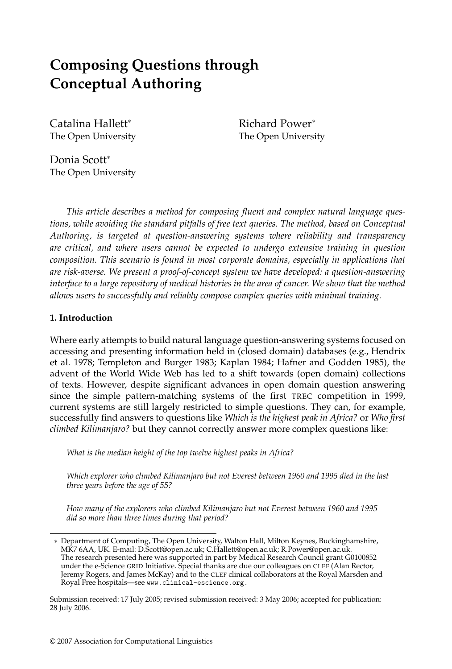# **Composing Questions through Conceptual Authoring**

Catalina Hallett<sup>∗</sup> The Open University Richard Power<sup>∗</sup> The Open University

Donia Scott<sup>∗</sup> The Open University

*This article describes a method for composing fluent and complex natural language questions, while avoiding the standard pitfalls of free text queries. The method, based on Conceptual Authoring, is targeted at question-answering systems where reliability and transparency are critical, and where users cannot be expected to undergo extensive training in question composition. This scenario is found in most corporate domains, especially in applications that are risk-averse. We present a proof-of-concept system we have developed: a question-answering interface to a large repository of medical histories in the area of cancer. We show that the method allows users to successfully and reliably compose complex queries with minimal training.*

### **1. Introduction**

Where early attempts to build natural language question-answering systems focused on accessing and presenting information held in (closed domain) databases (e.g., Hendrix et al. 1978; Templeton and Burger 1983; Kaplan 1984; Hafner and Godden 1985), the advent of the World Wide Web has led to a shift towards (open domain) collections of texts. However, despite significant advances in open domain question answering since the simple pattern-matching systems of the first TREC competition in 1999, current systems are still largely restricted to simple questions. They can, for example, successfully find answers to questions like *Which is the highest peak in Africa?* or *Who first climbed Kilimanjaro?* but they cannot correctly answer more complex questions like:

*What is the median height of the top twelve highest peaks in Africa?*

*Which explorer who climbed Kilimanjaro but not Everest between 1960 and 1995 died in the last three years before the age of 55?*

*How many of the explorers who climbed Kilimanjaro but not Everest between 1960 and 1995 did so more than three times during that period?*

<sup>∗</sup> Department of Computing, The Open University, Walton Hall, Milton Keynes, Buckinghamshire, MK7 6AA, UK. E-mail: D.Scott@open.ac.uk; C.Hallett@open.ac.uk; R.Power@open.ac.uk. The research presented here was supported in part by Medical Research Council grant G0100852 under the e-Science GRID Initiative. Special thanks are due our colleagues on CLEF (Alan Rector, Jeremy Rogers, and James McKay) and to the CLEF clinical collaborators at the Royal Marsden and Royal Free hospitals—see www.clinical-escience.org.

Submission received: 17 July 2005; revised submission received: 3 May 2006; accepted for publication: 28 July 2006.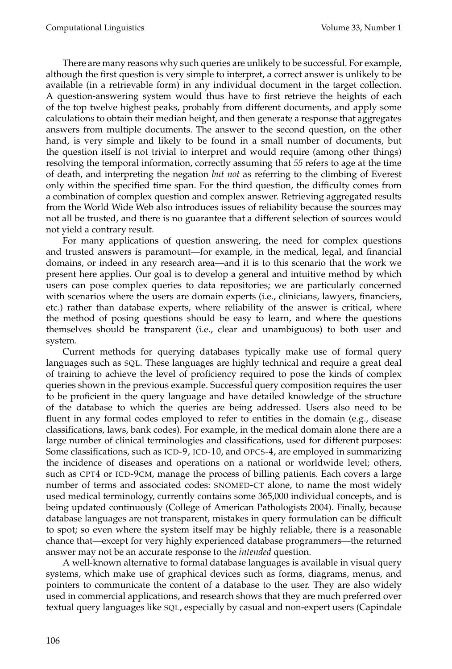There are many reasons why such queries are unlikely to be successful. For example, although the first question is very simple to interpret, a correct answer is unlikely to be available (in a retrievable form) in any individual document in the target collection. A question-answering system would thus have to first retrieve the heights of each of the top twelve highest peaks, probably from different documents, and apply some calculations to obtain their median height, and then generate a response that aggregates answers from multiple documents. The answer to the second question, on the other hand, is very simple and likely to be found in a small number of documents, but the question itself is not trivial to interpret and would require (among other things) resolving the temporal information, correctly assuming that *55* refers to age at the time of death, and interpreting the negation *but not* as referring to the climbing of Everest only within the specified time span. For the third question, the difficulty comes from a combination of complex question and complex answer. Retrieving aggregated results from the World Wide Web also introduces issues of reliability because the sources may not all be trusted, and there is no guarantee that a different selection of sources would not yield a contrary result.

For many applications of question answering, the need for complex questions and trusted answers is paramount—for example, in the medical, legal, and financial domains, or indeed in any research area—and it is to this scenario that the work we present here applies. Our goal is to develop a general and intuitive method by which users can pose complex queries to data repositories; we are particularly concerned with scenarios where the users are domain experts (i.e., clinicians, lawyers, financiers, etc.) rather than database experts, where reliability of the answer is critical, where the method of posing questions should be easy to learn, and where the questions themselves should be transparent (i.e., clear and unambiguous) to both user and system.

Current methods for querying databases typically make use of formal query languages such as SQL. These languages are highly technical and require a great deal of training to achieve the level of proficiency required to pose the kinds of complex queries shown in the previous example. Successful query composition requires the user to be proficient in the query language and have detailed knowledge of the structure of the database to which the queries are being addressed. Users also need to be fluent in any formal codes employed to refer to entities in the domain (e.g., disease classifications, laws, bank codes). For example, in the medical domain alone there are a large number of clinical terminologies and classifications, used for different purposes: Some classifications, such as ICD-9, ICD-10, and OPCS-4, are employed in summarizing the incidence of diseases and operations on a national or worldwide level; others, such as CPT4 or ICD-9CM, manage the process of billing patients. Each covers a large number of terms and associated codes: SNOMED-CT alone, to name the most widely used medical terminology, currently contains some 365,000 individual concepts, and is being updated continuously (College of American Pathologists 2004). Finally, because database languages are not transparent, mistakes in query formulation can be difficult to spot; so even where the system itself may be highly reliable, there is a reasonable chance that—except for very highly experienced database programmers—the returned answer may not be an accurate response to the *intended* question.

A well-known alternative to formal database languages is available in visual query systems, which make use of graphical devices such as forms, diagrams, menus, and pointers to communicate the content of a database to the user. They are also widely used in commercial applications, and research shows that they are much preferred over textual query languages like SQL, especially by casual and non-expert users (Capindale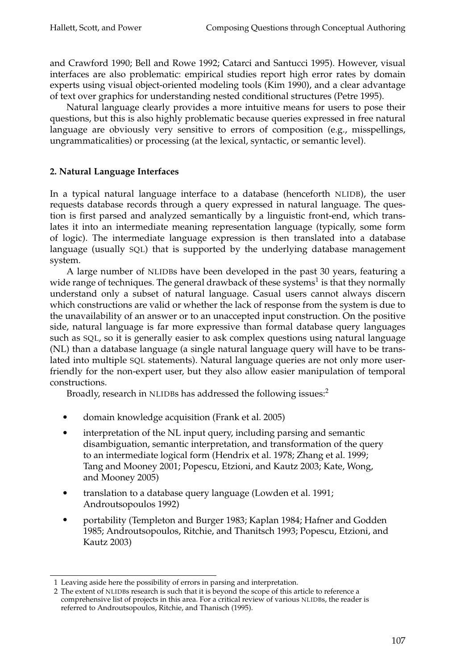and Crawford 1990; Bell and Rowe 1992; Catarci and Santucci 1995). However, visual interfaces are also problematic: empirical studies report high error rates by domain experts using visual object-oriented modeling tools (Kim 1990), and a clear advantage of text over graphics for understanding nested conditional structures (Petre 1995).

Natural language clearly provides a more intuitive means for users to pose their questions, but this is also highly problematic because queries expressed in free natural language are obviously very sensitive to errors of composition (e.g., misspellings, ungrammaticalities) or processing (at the lexical, syntactic, or semantic level).

### **2. Natural Language Interfaces**

In a typical natural language interface to a database (henceforth NLIDB), the user requests database records through a query expressed in natural language. The question is first parsed and analyzed semantically by a linguistic front-end, which translates it into an intermediate meaning representation language (typically, some form of logic). The intermediate language expression is then translated into a database language (usually SQL) that is supported by the underlying database management system.

A large number of NLIDBs have been developed in the past 30 years, featuring a wide range of techniques. The general drawback of these systems<sup>1</sup> is that they normally understand only a subset of natural language. Casual users cannot always discern which constructions are valid or whether the lack of response from the system is due to the unavailability of an answer or to an unaccepted input construction. On the positive side, natural language is far more expressive than formal database query languages such as SQL, so it is generally easier to ask complex questions using natural language (NL) than a database language (a single natural language query will have to be translated into multiple SQL statements). Natural language queries are not only more userfriendly for the non-expert user, but they also allow easier manipulation of temporal constructions.

Broadly, research in NLIDBs has addressed the following issues:<sup>2</sup>

- domain knowledge acquisition (Frank et al. 2005)
- interpretation of the NL input query, including parsing and semantic disambiguation, semantic interpretation, and transformation of the query to an intermediate logical form (Hendrix et al. 1978; Zhang et al. 1999; Tang and Mooney 2001; Popescu, Etzioni, and Kautz 2003; Kate, Wong, and Mooney 2005)
- translation to a database query language (Lowden et al. 1991; Androutsopoulos 1992)
- portability (Templeton and Burger 1983; Kaplan 1984; Hafner and Godden 1985; Androutsopoulos, Ritchie, and Thanitsch 1993; Popescu, Etzioni, and Kautz 2003)

<sup>1</sup> Leaving aside here the possibility of errors in parsing and interpretation.

<sup>2</sup> The extent of NLIDBs research is such that it is beyond the scope of this article to reference a comprehensive list of projects in this area. For a critical review of various NLIDBs, the reader is referred to Androutsopoulos, Ritchie, and Thanisch (1995).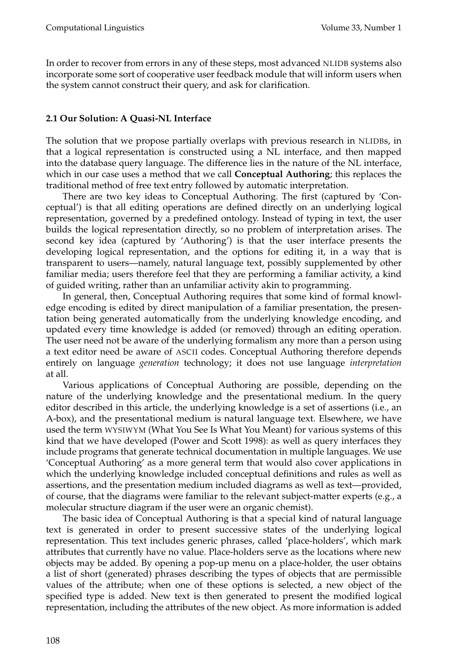In order to recover from errors in any of these steps, most advanced NLIDB systems also incorporate some sort of cooperative user feedback module that will inform users when the system cannot construct their query, and ask for clarification.

### **2.1 Our Solution: A Quasi-NL Interface**

The solution that we propose partially overlaps with previous research in NLIDBs, in that a logical representation is constructed using a NL interface, and then mapped into the database query language. The difference lies in the nature of the NL interface, which in our case uses a method that we call **Conceptual Authoring**; this replaces the traditional method of free text entry followed by automatic interpretation.

There are two key ideas to Conceptual Authoring. The first (captured by 'Conceptual') is that all editing operations are defined directly on an underlying logical representation, governed by a predefined ontology. Instead of typing in text, the user builds the logical representation directly, so no problem of interpretation arises. The second key idea (captured by 'Authoring') is that the user interface presents the developing logical representation, and the options for editing it, in a way that is transparent to users—namely, natural language text, possibly supplemented by other familiar media; users therefore feel that they are performing a familiar activity, a kind of guided writing, rather than an unfamiliar activity akin to programming.

In general, then, Conceptual Authoring requires that some kind of formal knowledge encoding is edited by direct manipulation of a familiar presentation, the presentation being generated automatically from the underlying knowledge encoding, and updated every time knowledge is added (or removed) through an editing operation. The user need not be aware of the underlying formalism any more than a person using a text editor need be aware of ASCII codes. Conceptual Authoring therefore depends entirely on language *generation* technology; it does not use language *interpretation* at all.

Various applications of Conceptual Authoring are possible, depending on the nature of the underlying knowledge and the presentational medium. In the query editor described in this article, the underlying knowledge is a set of assertions (i.e., an A-box), and the presentational medium is natural language text. Elsewhere, we have used the term WYSIWYM (What You See Is What You Meant) for various systems of this kind that we have developed (Power and Scott 1998): as well as query interfaces they include programs that generate technical documentation in multiple languages. We use 'Conceptual Authoring' as a more general term that would also cover applications in which the underlying knowledge included conceptual definitions and rules as well as assertions, and the presentation medium included diagrams as well as text—provided, of course, that the diagrams were familiar to the relevant subject-matter experts (e.g., a molecular structure diagram if the user were an organic chemist).

The basic idea of Conceptual Authoring is that a special kind of natural language text is generated in order to present successive states of the underlying logical representation. This text includes generic phrases, called 'place-holders', which mark attributes that currently have no value. Place-holders serve as the locations where new objects may be added. By opening a pop-up menu on a place-holder, the user obtains a list of short (generated) phrases describing the types of objects that are permissible values of the attribute; when one of these options is selected, a new object of the specified type is added. New text is then generated to present the modified logical representation, including the attributes of the new object. As more information is added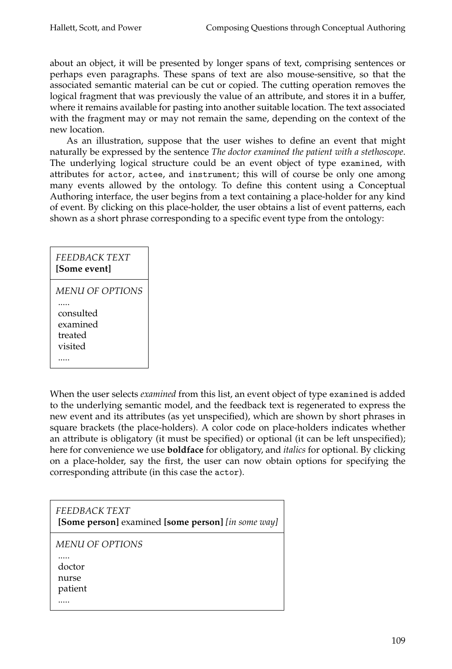about an object, it will be presented by longer spans of text, comprising sentences or perhaps even paragraphs. These spans of text are also mouse-sensitive, so that the associated semantic material can be cut or copied. The cutting operation removes the logical fragment that was previously the value of an attribute, and stores it in a buffer, where it remains available for pasting into another suitable location. The text associated with the fragment may or may not remain the same, depending on the context of the new location.

As an illustration, suppose that the user wishes to define an event that might naturally be expressed by the sentence *The doctor examined the patient with a stethoscope*. The underlying logical structure could be an event object of type examined, with attributes for actor, actee, and instrument; this will of course be only one among many events allowed by the ontology. To define this content using a Conceptual Authoring interface, the user begins from a text containing a place-holder for any kind of event. By clicking on this place-holder, the user obtains a list of event patterns, each shown as a short phrase corresponding to a specific event type from the ontology:

# *FEEDBACK TEXT* **[Some event]** *MENU OF OPTIONS* ..... consulted

examined treated

visited

.....

When the user selects *examined* from this list, an event object of type examined is added to the underlying semantic model, and the feedback text is regenerated to express the new event and its attributes (as yet unspecified), which are shown by short phrases in square brackets (the place-holders). A color code on place-holders indicates whether an attribute is obligatory (it must be specified) or optional (it can be left unspecified); here for convenience we use **boldface** for obligatory, and *italics* for optional. By clicking on a place-holder, say the first, the user can now obtain options for specifying the corresponding attribute (in this case the actor).

| <i>FEEDBACK TEXT</i><br>[Some person] examined [some person] [in some way] |
|----------------------------------------------------------------------------|
| <i>MENU OF OPTIONS</i><br>doctor<br>nurse<br>patient                       |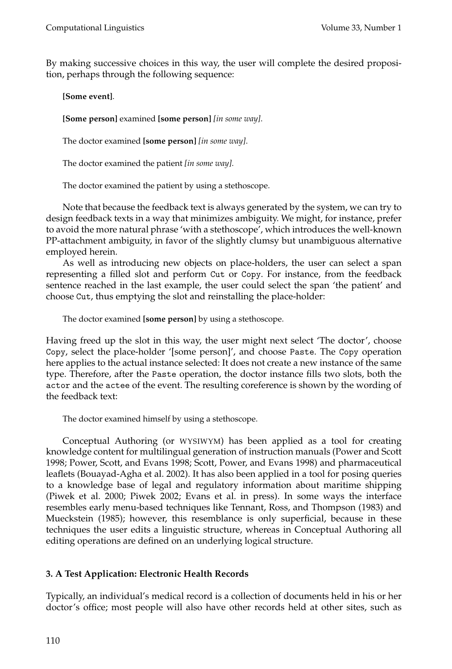By making successive choices in this way, the user will complete the desired proposition, perhaps through the following sequence:

**[Some event]**.

**[Some person]** examined **[some person]** *[in some way]*.

The doctor examined **[some person]** *[in some way]*.

The doctor examined the patient *[in some way]*.

The doctor examined the patient by using a stethoscope.

Note that because the feedback text is always generated by the system, we can try to design feedback texts in a way that minimizes ambiguity. We might, for instance, prefer to avoid the more natural phrase 'with a stethoscope', which introduces the well-known PP-attachment ambiguity, in favor of the slightly clumsy but unambiguous alternative employed herein.

As well as introducing new objects on place-holders, the user can select a span representing a filled slot and perform Cut or Copy. For instance, from the feedback sentence reached in the last example, the user could select the span 'the patient' and choose Cut, thus emptying the slot and reinstalling the place-holder:

The doctor examined **[some person]** by using a stethoscope.

Having freed up the slot in this way, the user might next select 'The doctor', choose Copy, select the place-holder '[some person]', and choose Paste. The Copy operation here applies to the actual instance selected: It does not create a new instance of the same type. Therefore, after the Paste operation, the doctor instance fills two slots, both the actor and the actee of the event. The resulting coreference is shown by the wording of the feedback text:

The doctor examined himself by using a stethoscope.

Conceptual Authoring (or WYSIWYM) has been applied as a tool for creating knowledge content for multilingual generation of instruction manuals (Power and Scott 1998; Power, Scott, and Evans 1998; Scott, Power, and Evans 1998) and pharmaceutical leaflets (Bouayad-Agha et al. 2002). It has also been applied in a tool for posing queries to a knowledge base of legal and regulatory information about maritime shipping (Piwek et al. 2000; Piwek 2002; Evans et al. in press). In some ways the interface resembles early menu-based techniques like Tennant, Ross, and Thompson (1983) and Mueckstein (1985); however, this resemblance is only superficial, because in these techniques the user edits a linguistic structure, whereas in Conceptual Authoring all editing operations are defined on an underlying logical structure.

# **3. A Test Application: Electronic Health Records**

Typically, an individual's medical record is a collection of documents held in his or her doctor's office; most people will also have other records held at other sites, such as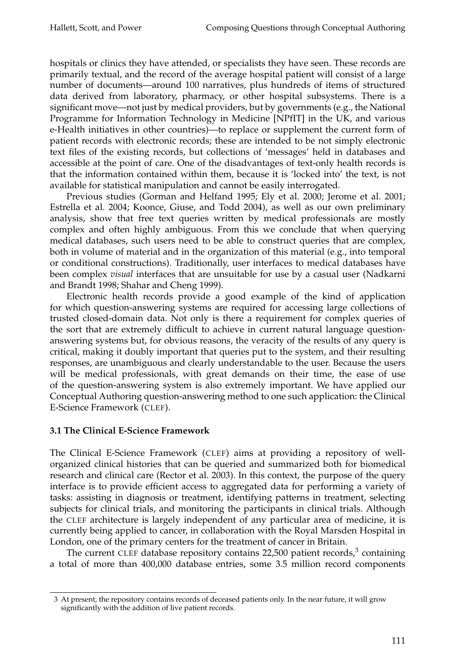hospitals or clinics they have attended, or specialists they have seen. These records are primarily textual, and the record of the average hospital patient will consist of a large number of documents—around 100 narratives, plus hundreds of items of structured data derived from laboratory, pharmacy, or other hospital subsystems. There is a significant move—not just by medical providers, but by governments (e.g., the National Programme for Information Technology in Medicine [NPfIT] in the UK, and various e-Health initiatives in other countries)—to replace or supplement the current form of patient records with electronic records; these are intended to be not simply electronic text files of the existing records, but collections of 'messages' held in databases and accessible at the point of care. One of the disadvantages of text-only health records is that the information contained within them, because it is 'locked into' the text, is not available for statistical manipulation and cannot be easily interrogated.

Previous studies (Gorman and Helfand 1995; Ely et al. 2000; Jerome et al. 2001; Estrella et al. 2004; Koonce, Giuse, and Todd 2004), as well as our own preliminary analysis, show that free text queries written by medical professionals are mostly complex and often highly ambiguous. From this we conclude that when querying medical databases, such users need to be able to construct queries that are complex, both in volume of material and in the organization of this material (e.g., into temporal or conditional constructions). Traditionally, user interfaces to medical databases have been complex *visual* interfaces that are unsuitable for use by a casual user (Nadkarni and Brandt 1998; Shahar and Cheng 1999).

Electronic health records provide a good example of the kind of application for which question-answering systems are required for accessing large collections of trusted closed-domain data. Not only is there a requirement for complex queries of the sort that are extremely difficult to achieve in current natural language questionanswering systems but, for obvious reasons, the veracity of the results of any query is critical, making it doubly important that queries put to the system, and their resulting responses, are unambiguous and clearly understandable to the user. Because the users will be medical professionals, with great demands on their time, the ease of use of the question-answering system is also extremely important. We have applied our Conceptual Authoring question-answering method to one such application: the Clinical E-Science Framework (CLEF).

### **3.1 The Clinical E-Science Framework**

The Clinical E-Science Framework (CLEF) aims at providing a repository of wellorganized clinical histories that can be queried and summarized both for biomedical research and clinical care (Rector et al. 2003). In this context, the purpose of the query interface is to provide efficient access to aggregated data for performing a variety of tasks: assisting in diagnosis or treatment, identifying patterns in treatment, selecting subjects for clinical trials, and monitoring the participants in clinical trials. Although the CLEF architecture is largely independent of any particular area of medicine, it is currently being applied to cancer, in collaboration with the Royal Marsden Hospital in London, one of the primary centers for the treatment of cancer in Britain.

The current CLEF database repository contains 22,500 patient records, $3$  containing a total of more than 400,000 database entries, some 3.5 million record components

<sup>3</sup> At present, the repository contains records of deceased patients only. In the near future, it will grow significantly with the addition of live patient records.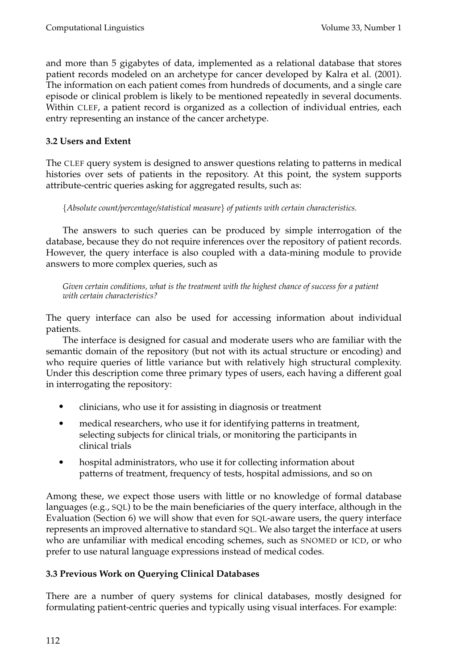and more than 5 gigabytes of data, implemented as a relational database that stores patient records modeled on an archetype for cancer developed by Kalra et al. (2001). The information on each patient comes from hundreds of documents, and a single care episode or clinical problem is likely to be mentioned repeatedly in several documents. Within CLEF, a patient record is organized as a collection of individual entries, each entry representing an instance of the cancer archetype.

# **3.2 Users and Extent**

The CLEF query system is designed to answer questions relating to patterns in medical histories over sets of patients in the repository. At this point, the system supports attribute-centric queries asking for aggregated results, such as:

{*Absolute count/percentage/statistical measure*} *of patients with certain characteristics.*

The answers to such queries can be produced by simple interrogation of the database, because they do not require inferences over the repository of patient records. However, the query interface is also coupled with a data-mining module to provide answers to more complex queries, such as

*Given certain conditions, what is the treatment with the highest chance of success for a patient with certain characteristics?*

The query interface can also be used for accessing information about individual patients.

The interface is designed for casual and moderate users who are familiar with the semantic domain of the repository (but not with its actual structure or encoding) and who require queries of little variance but with relatively high structural complexity. Under this description come three primary types of users, each having a different goal in interrogating the repository:

- clinicians, who use it for assisting in diagnosis or treatment
- medical researchers, who use it for identifying patterns in treatment, selecting subjects for clinical trials, or monitoring the participants in clinical trials
- hospital administrators, who use it for collecting information about patterns of treatment, frequency of tests, hospital admissions, and so on

Among these, we expect those users with little or no knowledge of formal database languages (e.g., SQL) to be the main beneficiaries of the query interface, although in the Evaluation (Section 6) we will show that even for SQL-aware users, the query interface represents an improved alternative to standard SQL. We also target the interface at users who are unfamiliar with medical encoding schemes, such as SNOMED or ICD, or who prefer to use natural language expressions instead of medical codes.

# **3.3 Previous Work on Querying Clinical Databases**

There are a number of query systems for clinical databases, mostly designed for formulating patient-centric queries and typically using visual interfaces. For example: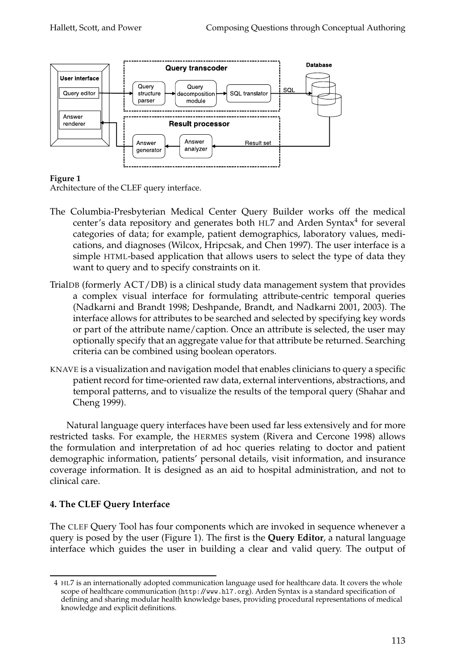

### **Figure 1**

Architecture of the CLEF query interface.

- The Columbia-Presbyterian Medical Center Query Builder works off the medical center's data repository and generates both HL7 and Arden Syntax $4$  for several categories of data; for example, patient demographics, laboratory values, medications, and diagnoses (Wilcox, Hripcsak, and Chen 1997). The user interface is a simple HTML-based application that allows users to select the type of data they want to query and to specify constraints on it.
- TrialDB (formerly ACT/DB) is a clinical study data management system that provides a complex visual interface for formulating attribute-centric temporal queries (Nadkarni and Brandt 1998; Deshpande, Brandt, and Nadkarni 2001, 2003). The interface allows for attributes to be searched and selected by specifying key words or part of the attribute name/caption. Once an attribute is selected, the user may optionally specify that an aggregate value for that attribute be returned. Searching criteria can be combined using boolean operators.
- KNAVE is a visualization and navigation model that enables clinicians to query a specific patient record for time-oriented raw data, external interventions, abstractions, and temporal patterns, and to visualize the results of the temporal query (Shahar and Cheng 1999).

Natural language query interfaces have been used far less extensively and for more restricted tasks. For example, the HERMES system (Rivera and Cercone 1998) allows the formulation and interpretation of ad hoc queries relating to doctor and patient demographic information, patients' personal details, visit information, and insurance coverage information. It is designed as an aid to hospital administration, and not to clinical care.

# **4. The CLEF Query Interface**

The CLEF Query Tool has four components which are invoked in sequence whenever a query is posed by the user (Figure 1). The first is the **Query Editor**, a natural language interface which guides the user in building a clear and valid query. The output of

<sup>4</sup> HL7 is an internationally adopted communication language used for healthcare data. It covers the whole scope of healthcare communication (http://www.hl7.org). Arden Syntax is a standard specification of defining and sharing modular health knowledge bases, providing procedural representations of medical knowledge and explicit definitions.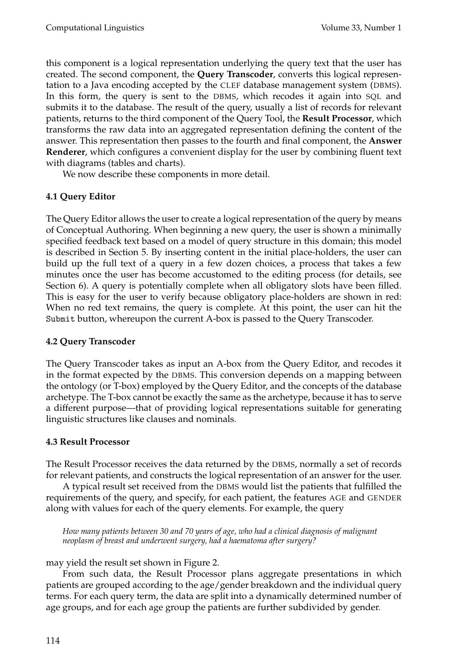this component is a logical representation underlying the query text that the user has created. The second component, the **Query Transcoder**, converts this logical representation to a Java encoding accepted by the CLEF database management system (DBMS). In this form, the query is sent to the DBMS, which recodes it again into SQL and submits it to the database. The result of the query, usually a list of records for relevant patients, returns to the third component of the Query Tool, the **Result Processor**, which transforms the raw data into an aggregated representation defining the content of the answer. This representation then passes to the fourth and final component, the **Answer Renderer**, which configures a convenient display for the user by combining fluent text with diagrams (tables and charts).

We now describe these components in more detail.

# **4.1 Query Editor**

The Query Editor allows the user to create a logical representation of the query by means of Conceptual Authoring. When beginning a new query, the user is shown a minimally specified feedback text based on a model of query structure in this domain; this model is described in Section 5. By inserting content in the initial place-holders, the user can build up the full text of a query in a few dozen choices, a process that takes a few minutes once the user has become accustomed to the editing process (for details, see Section 6). A query is potentially complete when all obligatory slots have been filled. This is easy for the user to verify because obligatory place-holders are shown in red: When no red text remains, the query is complete. At this point, the user can hit the Submit button, whereupon the current A-box is passed to the Query Transcoder.

### **4.2 Query Transcoder**

The Query Transcoder takes as input an A-box from the Query Editor, and recodes it in the format expected by the DBMS. This conversion depends on a mapping between the ontology (or T-box) employed by the Query Editor, and the concepts of the database archetype. The T-box cannot be exactly the same as the archetype, because it has to serve a different purpose—that of providing logical representations suitable for generating linguistic structures like clauses and nominals.

# **4.3 Result Processor**

The Result Processor receives the data returned by the DBMS, normally a set of records for relevant patients, and constructs the logical representation of an answer for the user.

A typical result set received from the DBMS would list the patients that fulfilled the requirements of the query, and specify, for each patient, the features AGE and GENDER along with values for each of the query elements. For example, the query

*How many patients between 30 and 70 years of age, who had a clinical diagnosis of malignant neoplasm of breast and underwent surgery, had a haematoma after surgery?*

may yield the result set shown in Figure 2.

From such data, the Result Processor plans aggregate presentations in which patients are grouped according to the age/gender breakdown and the individual query terms. For each query term, the data are split into a dynamically determined number of age groups, and for each age group the patients are further subdivided by gender.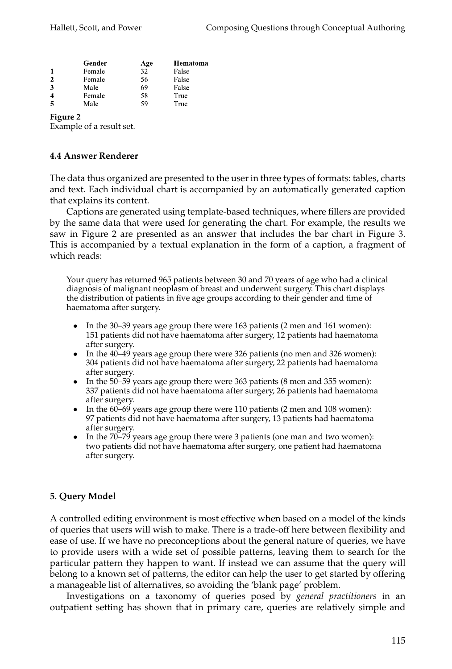|              | Gender | Age | Hematoma |
|--------------|--------|-----|----------|
|              | Female | 32  | False    |
| $\mathbf{2}$ | Female | 56  | False    |
| 3            | Male   | 69  | False    |
| 4            | Female | 58  | True     |
|              | Male   | 59  | True     |

#### **Figure 2**

Example of a result set.

#### **4.4 Answer Renderer**

The data thus organized are presented to the user in three types of formats: tables, charts and text. Each individual chart is accompanied by an automatically generated caption that explains its content.

Captions are generated using template-based techniques, where fillers are provided by the same data that were used for generating the chart. For example, the results we saw in Figure 2 are presented as an answer that includes the bar chart in Figure 3. This is accompanied by a textual explanation in the form of a caption, a fragment of which reads:

Your query has returned 965 patients between 30 and 70 years of age who had a clinical diagnosis of malignant neoplasm of breast and underwent surgery. This chart displays the distribution of patients in five age groups according to their gender and time of haematoma after surgery.

- In the 30–39 years age group there were 163 patients (2 men and 161 women): 151 patients did not have haematoma after surgery, 12 patients had haematoma after surgery.
- In the  $40-49$  years age group there were 326 patients (no men and 326 women): 304 patients did not have haematoma after surgery, 22 patients had haematoma after surgery.
- In the  $50-59$  years age group there were 363 patients (8 men and 355 women): 337 patients did not have haematoma after surgery, 26 patients had haematoma after surgery.
- In the  $60-69$  years age group there were 110 patients (2 men and 108 women): 97 patients did not have haematoma after surgery, 13 patients had haematoma after surgery.
- In the 70–79 years age group there were 3 patients (one man and two women): two patients did not have haematoma after surgery, one patient had haematoma after surgery.

### **5. Query Model**

A controlled editing environment is most effective when based on a model of the kinds of queries that users will wish to make. There is a trade-off here between flexibility and ease of use. If we have no preconceptions about the general nature of queries, we have to provide users with a wide set of possible patterns, leaving them to search for the particular pattern they happen to want. If instead we can assume that the query will belong to a known set of patterns, the editor can help the user to get started by offering a manageable list of alternatives, so avoiding the 'blank page' problem.

Investigations on a taxonomy of queries posed by *general practitioners* in an outpatient setting has shown that in primary care, queries are relatively simple and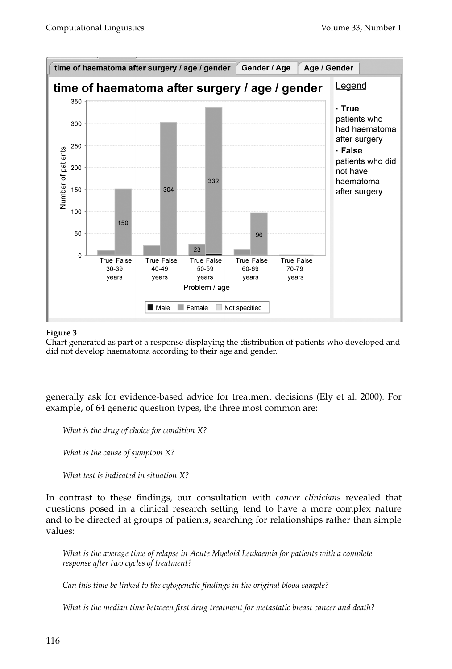

#### **Figure 3**

Chart generated as part of a response displaying the distribution of patients who developed and did not develop haematoma according to their age and gender.

generally ask for evidence-based advice for treatment decisions (Ely et al. 2000). For example, of 64 generic question types, the three most common are:

*What is the drug of choice for condition X?*

*What is the cause of symptom X?*

*What test is indicated in situation X?*

In contrast to these findings, our consultation with *cancer clinicians* revealed that questions posed in a clinical research setting tend to have a more complex nature and to be directed at groups of patients, searching for relationships rather than simple values:

*What is the average time of relapse in Acute Myeloid Leukaemia for patients with a complete response after two cycles of treatment?*

*Can this time be linked to the cytogenetic findings in the original blood sample?*

*What is the median time between first drug treatment for metastatic breast cancer and death?*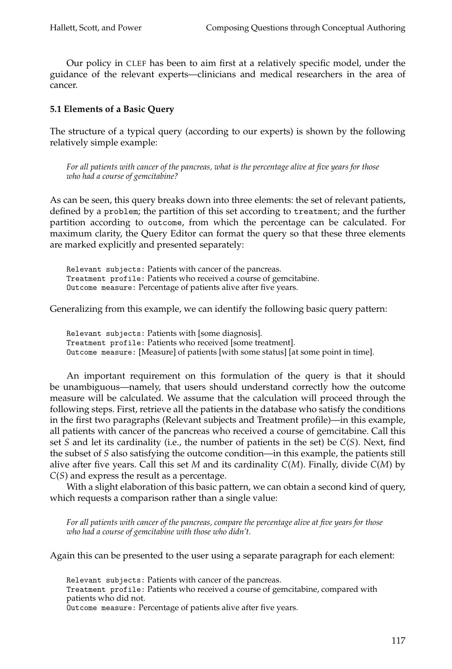Our policy in CLEF has been to aim first at a relatively specific model, under the guidance of the relevant experts—clinicians and medical researchers in the area of cancer.

### **5.1 Elements of a Basic Query**

The structure of a typical query (according to our experts) is shown by the following relatively simple example:

*For all patients with cancer of the pancreas, what is the percentage alive at five years for those who had a course of gemcitabine?*

As can be seen, this query breaks down into three elements: the set of relevant patients, defined by a problem; the partition of this set according to treatment; and the further partition according to outcome, from which the percentage can be calculated. For maximum clarity, the Query Editor can format the query so that these three elements are marked explicitly and presented separately:

Relevant subjects: Patients with cancer of the pancreas. Treatment profile: Patients who received a course of gemcitabine. Outcome measure: Percentage of patients alive after five years.

Generalizing from this example, we can identify the following basic query pattern:

Relevant subjects: Patients with [some diagnosis]. Treatment profile: Patients who received [some treatment]. Outcome measure: [Measure] of patients [with some status] [at some point in time].

An important requirement on this formulation of the query is that it should be unambiguous—namely, that users should understand correctly how the outcome measure will be calculated. We assume that the calculation will proceed through the following steps. First, retrieve all the patients in the database who satisfy the conditions in the first two paragraphs (Relevant subjects and Treatment profile)—in this example, all patients with cancer of the pancreas who received a course of gemcitabine. Call this set *S* and let its cardinality (i.e., the number of patients in the set) be *C*(*S*). Next, find the subset of *S* also satisfying the outcome condition—in this example, the patients still alive after five years. Call this set *M* and its cardinality *C*(*M*). Finally, divide *C*(*M*) by *C*(*S*) and express the result as a percentage.

With a slight elaboration of this basic pattern, we can obtain a second kind of query, which requests a comparison rather than a single value:

*For all patients with cancer of the pancreas, compare the percentage alive at five years for those who had a course of gemcitabine with those who didn't.*

Again this can be presented to the user using a separate paragraph for each element:

Relevant subjects: Patients with cancer of the pancreas. Treatment profile: Patients who received a course of gemcitabine, compared with patients who did not. Outcome measure: Percentage of patients alive after five years.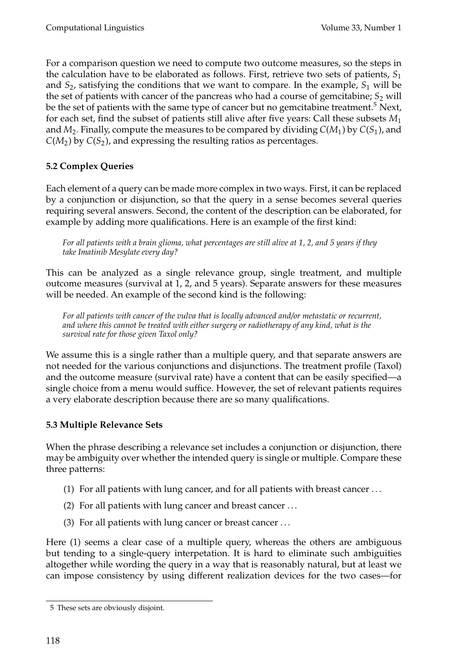For a comparison question we need to compute two outcome measures, so the steps in the calculation have to be elaborated as follows. First, retrieve two sets of patients, *S*<sup>1</sup> and  $S_2$ , satisfying the conditions that we want to compare. In the example,  $S_1$  will be the set of patients with cancer of the pancreas who had a course of gemcitabine;  $S_2$  will be the set of patients with the same type of cancer but no gemcitabine treatment.<sup>5</sup> Next, for each set, find the subset of patients still alive after five years: Call these subsets *M*<sup>1</sup> and  $M_2$ . Finally, compute the measures to be compared by dividing  $C(M_1)$  by  $C(S_1)$ , and  $C(M_2)$  by  $C(S_2)$ , and expressing the resulting ratios as percentages.

# **5.2 Complex Queries**

Each element of a query can be made more complex in two ways. First, it can be replaced by a conjunction or disjunction, so that the query in a sense becomes several queries requiring several answers. Second, the content of the description can be elaborated, for example by adding more qualifications. Here is an example of the first kind:

*For all patients with a brain glioma, what percentages are still alive at 1, 2, and 5 years if they take Imatinib Mesylate every day?*

This can be analyzed as a single relevance group, single treatment, and multiple outcome measures (survival at 1, 2, and 5 years). Separate answers for these measures will be needed. An example of the second kind is the following:

*For all patients with cancer of the vulva that is locally advanced and/or metastatic or recurrent, and where this cannot be treated with either surgery or radiotherapy of any kind, what is the survival rate for those given Taxol only?*

We assume this is a single rather than a multiple query, and that separate answers are not needed for the various conjunctions and disjunctions. The treatment profile (Taxol) and the outcome measure (survival rate) have a content that can be easily specified—a single choice from a menu would suffice. However, the set of relevant patients requires a very elaborate description because there are so many qualifications.

# **5.3 Multiple Relevance Sets**

When the phrase describing a relevance set includes a conjunction or disjunction, there may be ambiguity over whether the intended query is single or multiple. Compare these three patterns:

- (1) For all patients with lung cancer, and for all patients with breast cancer . . .
- (2) For all patients with lung cancer and breast cancer . . .
- (3) For all patients with lung cancer or breast cancer . . .

Here (1) seems a clear case of a multiple query, whereas the others are ambiguous but tending to a single-query interpetation. It is hard to eliminate such ambiguities altogether while wording the query in a way that is reasonably natural, but at least we can impose consistency by using different realization devices for the two cases—for

<sup>5</sup> These sets are obviously disjoint.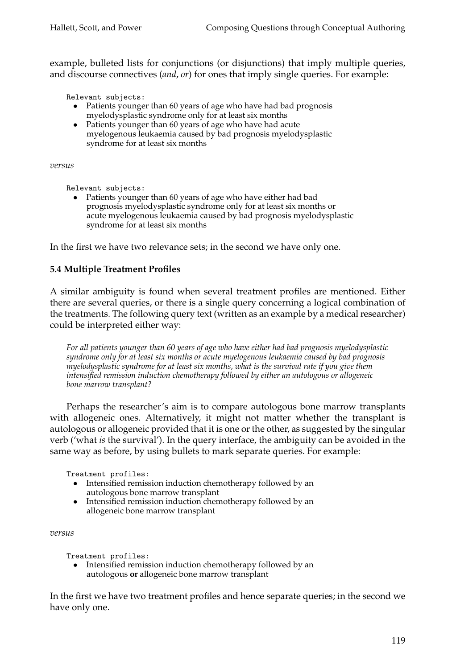example, bulleted lists for conjunctions (or disjunctions) that imply multiple queries, and discourse connectives (*and*, *or*) for ones that imply single queries. For example:

Relevant subjects:

- Patients younger than 60 years of age who have had bad prognosis myelodysplastic syndrome only for at least six months
- Patients younger than 60 years of age who have had acute myelogenous leukaemia caused by bad prognosis myelodysplastic syndrome for at least six months

*versus*

Relevant subjects:

• Patients younger than 60 years of age who have either had bad prognosis myelodysplastic syndrome only for at least six months or acute myelogenous leukaemia caused by bad prognosis myelodysplastic syndrome for at least six months

In the first we have two relevance sets; in the second we have only one.

#### **5.4 Multiple Treatment Profiles**

A similar ambiguity is found when several treatment profiles are mentioned. Either there are several queries, or there is a single query concerning a logical combination of the treatments. The following query text (written as an example by a medical researcher) could be interpreted either way:

*For all patients younger than 60 years of age who have either had bad prognosis myelodysplastic syndrome only for at least six months or acute myelogenous leukaemia caused by bad prognosis myelodysplastic syndrome for at least six months, what is the survival rate if you give them intensified remission induction chemotherapy followed by either an autologous or allogeneic bone marrow transplant?*

Perhaps the researcher's aim is to compare autologous bone marrow transplants with allogeneic ones. Alternatively, it might not matter whether the transplant is autologous or allogeneic provided that it is one or the other, as suggested by the singular verb ('what *is* the survival'). In the query interface, the ambiguity can be avoided in the same way as before, by using bullets to mark separate queries. For example:

Treatment profiles:

- Intensified remission induction chemotherapy followed by an autologous bone marrow transplant
- Intensified remission induction chemotherapy followed by an allogeneic bone marrow transplant

*versus*

Treatment profiles:

• Intensified remission induction chemotherapy followed by an autologous **or** allogeneic bone marrow transplant

In the first we have two treatment profiles and hence separate queries; in the second we have only one.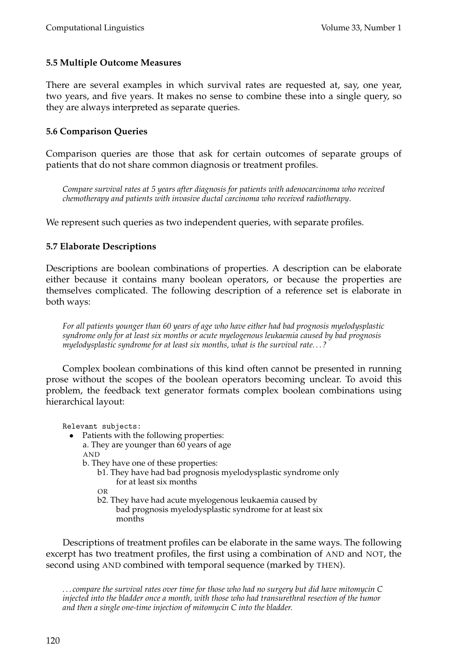# **5.5 Multiple Outcome Measures**

There are several examples in which survival rates are requested at, say, one year, two years, and five years. It makes no sense to combine these into a single query, so they are always interpreted as separate queries.

### **5.6 Comparison Queries**

Comparison queries are those that ask for certain outcomes of separate groups of patients that do not share common diagnosis or treatment profiles.

*Compare survival rates at 5 years after diagnosis for patients with adenocarcinoma who received chemotherapy and patients with invasive ductal carcinoma who received radiotherapy*.

We represent such queries as two independent queries, with separate profiles.

# **5.7 Elaborate Descriptions**

Descriptions are boolean combinations of properties. A description can be elaborate either because it contains many boolean operators, or because the properties are themselves complicated. The following description of a reference set is elaborate in both ways:

*For all patients younger than 60 years of age who have either had bad prognosis myelodysplastic syndrome only for at least six months or acute myelogenous leukaemia caused by bad prognosis myelodysplastic syndrome for at least six months, what is the survival rate. . . ?*

Complex boolean combinations of this kind often cannot be presented in running prose without the scopes of the boolean operators becoming unclear. To avoid this problem, the feedback text generator formats complex boolean combinations using hierarchical layout:

Relevant subjects:

- Patients with the following properties:
	- a. They are younger than 60 years of age AND
	- b. They have one of these properties:
		- b1. They have had bad prognosis myelodysplastic syndrome only for at least six months

OR

b2. They have had acute myelogenous leukaemia caused by bad prognosis myelodysplastic syndrome for at least six months

Descriptions of treatment profiles can be elaborate in the same ways. The following excerpt has two treatment profiles, the first using a combination of AND and NOT, the second using AND combined with temporal sequence (marked by THEN).

*. . . compare the survival rates over time for those who had no surgery but did have mitomycin C injected into the bladder once a month, with those who had transurethral resection of the tumor and then a single one-time injection of mitomycin C into the bladder.*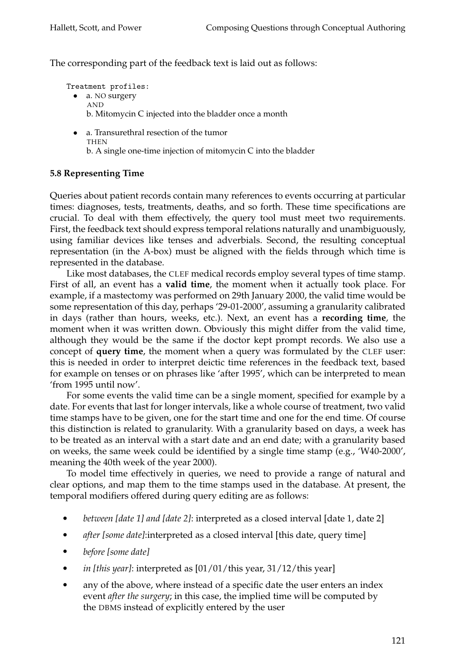The corresponding part of the feedback text is laid out as follows:

- Treatment profiles: • a. NO surgery AND b. Mitomycin C injected into the bladder once a month
	- a. Transurethral resection of the tumor **THEN** b. A single one-time injection of mitomycin C into the bladder

### **5.8 Representing Time**

Queries about patient records contain many references to events occurring at particular times: diagnoses, tests, treatments, deaths, and so forth. These time specifications are crucial. To deal with them effectively, the query tool must meet two requirements. First, the feedback text should express temporal relations naturally and unambiguously, using familiar devices like tenses and adverbials. Second, the resulting conceptual representation (in the A-box) must be aligned with the fields through which time is represented in the database.

Like most databases, the CLEF medical records employ several types of time stamp. First of all, an event has a **valid time**, the moment when it actually took place. For example, if a mastectomy was performed on 29th January 2000, the valid time would be some representation of this day, perhaps '29-01-2000', assuming a granularity calibrated in days (rather than hours, weeks, etc.). Next, an event has a **recording time**, the moment when it was written down. Obviously this might differ from the valid time, although they would be the same if the doctor kept prompt records. We also use a concept of **query time**, the moment when a query was formulated by the CLEF user: this is needed in order to interpret deictic time references in the feedback text, based for example on tenses or on phrases like 'after 1995', which can be interpreted to mean 'from 1995 until now'.

For some events the valid time can be a single moment, specified for example by a date. For events that last for longer intervals, like a whole course of treatment, two valid time stamps have to be given, one for the start time and one for the end time. Of course this distinction is related to granularity. With a granularity based on days, a week has to be treated as an interval with a start date and an end date; with a granularity based on weeks, the same week could be identified by a single time stamp (e.g., 'W40-2000', meaning the 40th week of the year 2000).

To model time effectively in queries, we need to provide a range of natural and clear options, and map them to the time stamps used in the database. At present, the temporal modifiers offered during query editing are as follows:

- *between [date 1] and [date 2]*: interpreted as a closed interval [date 1, date 2]
- *after [some date]*:interpreted as a closed interval [this date, query time]
- *before [some date]*
- *in [this year]*: interpreted as [01/01/this year, 31/12/this year]
- any of the above, where instead of a specific date the user enters an index event *after the surgery*; in this case, the implied time will be computed by the DBMS instead of explicitly entered by the user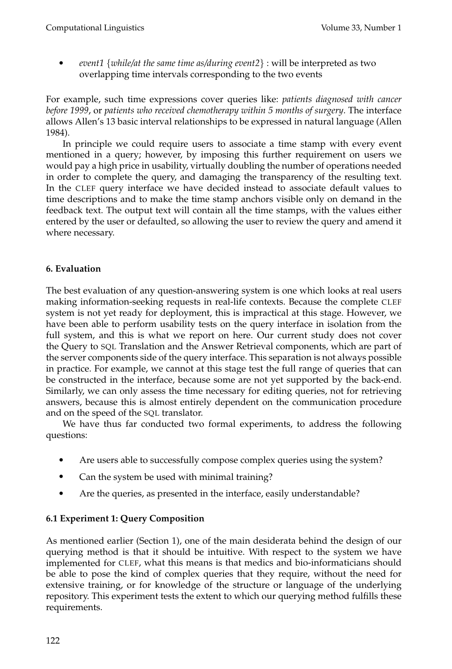*event1* {*while/at the same time as/during event2*} : will be interpreted as two overlapping time intervals corresponding to the two events

For example, such time expressions cover queries like: *patients diagnosed with cancer before 1999*, or *patients who received chemotherapy within 5 months of surgery*. The interface allows Allen's 13 basic interval relationships to be expressed in natural language (Allen 1984).

In principle we could require users to associate a time stamp with every event mentioned in a query; however, by imposing this further requirement on users we would pay a high price in usability, virtually doubling the number of operations needed in order to complete the query, and damaging the transparency of the resulting text. In the CLEF query interface we have decided instead to associate default values to time descriptions and to make the time stamp anchors visible only on demand in the feedback text. The output text will contain all the time stamps, with the values either entered by the user or defaulted, so allowing the user to review the query and amend it where necessary.

# **6. Evaluation**

The best evaluation of any question-answering system is one which looks at real users making information-seeking requests in real-life contexts. Because the complete CLEF system is not yet ready for deployment, this is impractical at this stage. However, we have been able to perform usability tests on the query interface in isolation from the full system, and this is what we report on here. Our current study does not cover the Query to SQL Translation and the Answer Retrieval components, which are part of the server components side of the query interface. This separation is not always possible in practice. For example, we cannot at this stage test the full range of queries that can be constructed in the interface, because some are not yet supported by the back-end. Similarly, we can only assess the time necessary for editing queries, not for retrieving answers, because this is almost entirely dependent on the communication procedure and on the speed of the SQL translator.

We have thus far conducted two formal experiments, to address the following questions:

- Are users able to successfully compose complex queries using the system?
- Can the system be used with minimal training?
- Are the queries, as presented in the interface, easily understandable?

# **6.1 Experiment 1: Query Composition**

As mentioned earlier (Section 1), one of the main desiderata behind the design of our querying method is that it should be intuitive. With respect to the system we have implemented for CLEF, what this means is that medics and bio-informaticians should be able to pose the kind of complex queries that they require, without the need for extensive training, or for knowledge of the structure or language of the underlying repository. This experiment tests the extent to which our querying method fulfills these requirements.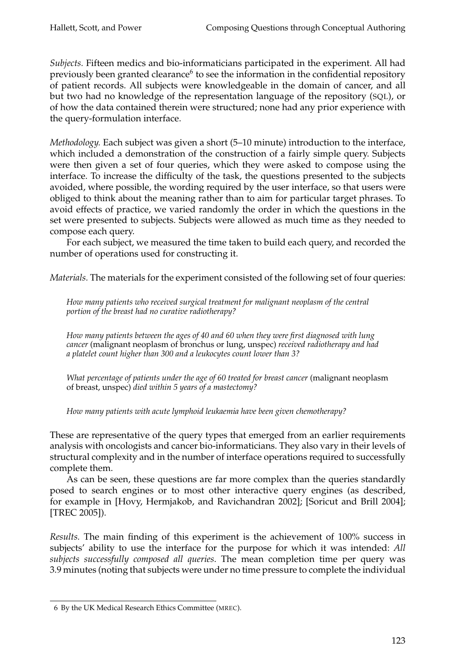*Subjects.* Fifteen medics and bio-informaticians participated in the experiment. All had previously been granted clearance<sup>6</sup> to see the information in the confidential repository of patient records. All subjects were knowledgeable in the domain of cancer, and all but two had no knowledge of the representation language of the repository (SQL), or of how the data contained therein were structured; none had any prior experience with the query-formulation interface.

*Methodology.* Each subject was given a short (5–10 minute) introduction to the interface, which included a demonstration of the construction of a fairly simple query. Subjects were then given a set of four queries, which they were asked to compose using the interface. To increase the difficulty of the task, the questions presented to the subjects avoided, where possible, the wording required by the user interface, so that users were obliged to think about the meaning rather than to aim for particular target phrases. To avoid effects of practice, we varied randomly the order in which the questions in the set were presented to subjects. Subjects were allowed as much time as they needed to compose each query.

For each subject, we measured the time taken to build each query, and recorded the number of operations used for constructing it.

*Materials.* The materials for the experiment consisted of the following set of four queries:

*How many patients who received surgical treatment for malignant neoplasm of the central portion of the breast had no curative radiotherapy?*

*How many patients between the ages of 40 and 60 when they were first diagnosed with lung cancer* (malignant neoplasm of bronchus or lung, unspec) *received radiotherapy and had a platelet count higher than 300 and a leukocytes count lower than 3?*

*What percentage of patients under the age of 60 treated for breast cancer* (malignant neoplasm of breast, unspec) *died within 5 years of a mastectomy?*

*How many patients with acute lymphoid leukaemia have been given chemotherapy?*

These are representative of the query types that emerged from an earlier requirements analysis with oncologists and cancer bio-informaticians. They also vary in their levels of structural complexity and in the number of interface operations required to successfully complete them.

As can be seen, these questions are far more complex than the queries standardly posed to search engines or to most other interactive query engines (as described, for example in [Hovy, Hermjakob, and Ravichandran 2002]; [Soricut and Brill 2004]; [TREC 2005]).

*Results.* The main finding of this experiment is the achievement of 100% success in subjects' ability to use the interface for the purpose for which it was intended: *All subjects successfully composed all queries*. The mean completion time per query was 3.9 minutes (noting that subjects were under no time pressure to complete the individual

<sup>6</sup> By the UK Medical Research Ethics Committee (MREC).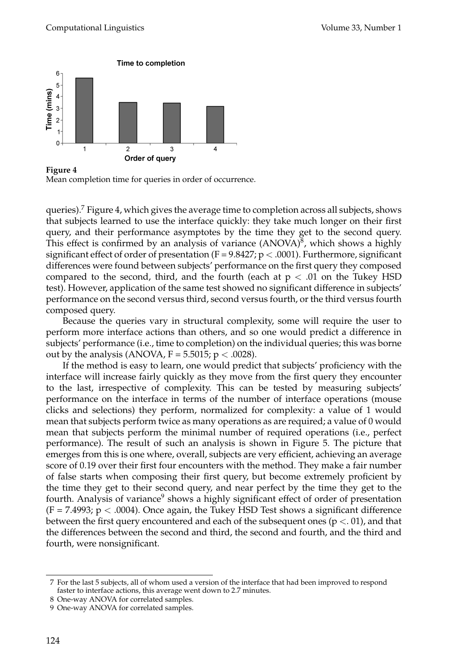

**Figure 4** Mean completion time for queries in order of occurrence.

queries).7 Figure 4, which gives the average time to completion across all subjects, shows that subjects learned to use the interface quickly: they take much longer on their first query, and their performance asymptotes by the time they get to the second query. This effect is confirmed by an analysis of variance  $(ANOVA)^8$ , which shows a highly significant effect of order of presentation (F =  $9.8427$ ; p < .0001). Furthermore, significant differences were found between subjects' performance on the first query they composed compared to the second, third, and the fourth (each at  $p < .01$  on the Tukey HSD test). However, application of the same test showed no significant difference in subjects' performance on the second versus third, second versus fourth, or the third versus fourth composed query.

Because the queries vary in structural complexity, some will require the user to perform more interface actions than others, and so one would predict a difference in subjects' performance (i.e., time to completion) on the individual queries; this was borne out by the analysis (ANOVA,  $F = 5.5015$ ;  $p < .0028$ ).

If the method is easy to learn, one would predict that subjects' proficiency with the interface will increase fairly quickly as they move from the first query they encounter to the last, irrespective of complexity. This can be tested by measuring subjects' performance on the interface in terms of the number of interface operations (mouse clicks and selections) they perform, normalized for complexity: a value of 1 would mean that subjects perform twice as many operations as are required; a value of 0 would mean that subjects perform the minimal number of required operations (i.e., perfect performance). The result of such an analysis is shown in Figure 5. The picture that emerges from this is one where, overall, subjects are very efficient, achieving an average score of 0.19 over their first four encounters with the method. They make a fair number of false starts when composing their first query, but become extremely proficient by the time they get to their second query, and near perfect by the time they get to the fourth. Analysis of variance<sup>9</sup> shows a highly significant effect of order of presentation  $(F = 7.4993; p < .0004)$ . Once again, the Tukey HSD Test shows a significant difference between the first query encountered and each of the subsequent ones ( $p < 01$ ), and that the differences between the second and third, the second and fourth, and the third and fourth, were nonsignificant.

<sup>7</sup> For the last 5 subjects, all of whom used a version of the interface that had been improved to respond faster to interface actions, this average went down to 2.7 minutes.

<sup>8</sup> One-way ANOVA for correlated samples.

<sup>9</sup> One-way ANOVA for correlated samples.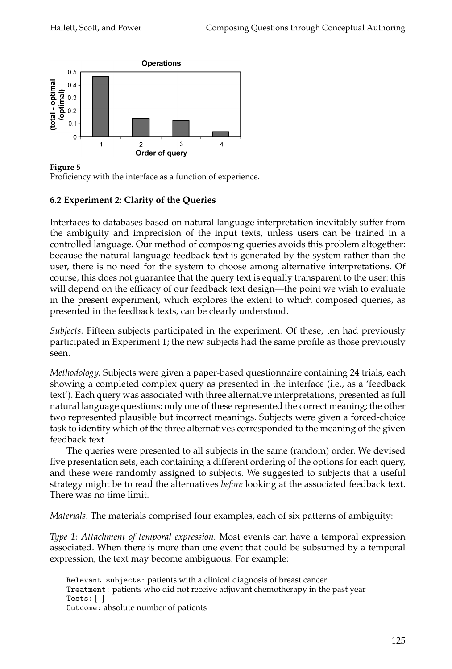

**Figure 5**

Proficiency with the interface as a function of experience.

# **6.2 Experiment 2: Clarity of the Queries**

Interfaces to databases based on natural language interpretation inevitably suffer from the ambiguity and imprecision of the input texts, unless users can be trained in a controlled language. Our method of composing queries avoids this problem altogether: because the natural language feedback text is generated by the system rather than the user, there is no need for the system to choose among alternative interpretations. Of course, this does not guarantee that the query text is equally transparent to the user: this will depend on the efficacy of our feedback text design—the point we wish to evaluate in the present experiment, which explores the extent to which composed queries, as presented in the feedback texts, can be clearly understood.

*Subjects.* Fifteen subjects participated in the experiment. Of these, ten had previously participated in Experiment 1; the new subjects had the same profile as those previously seen.

*Methodology.* Subjects were given a paper-based questionnaire containing 24 trials, each showing a completed complex query as presented in the interface (i.e., as a 'feedback text'). Each query was associated with three alternative interpretations, presented as full natural language questions: only one of these represented the correct meaning; the other two represented plausible but incorrect meanings. Subjects were given a forced-choice task to identify which of the three alternatives corresponded to the meaning of the given feedback text.

The queries were presented to all subjects in the same (random) order. We devised five presentation sets, each containing a different ordering of the options for each query, and these were randomly assigned to subjects. We suggested to subjects that a useful strategy might be to read the alternatives *before* looking at the associated feedback text. There was no time limit.

*Materials.* The materials comprised four examples, each of six patterns of ambiguity:

*Type 1: Attachment of temporal expression.* Most events can have a temporal expression associated. When there is more than one event that could be subsumed by a temporal expression, the text may become ambiguous. For example:

Relevant subjects: patients with a clinical diagnosis of breast cancer Treatment: patients who did not receive adjuvant chemotherapy in the past year Tests: [ ] Outcome: absolute number of patients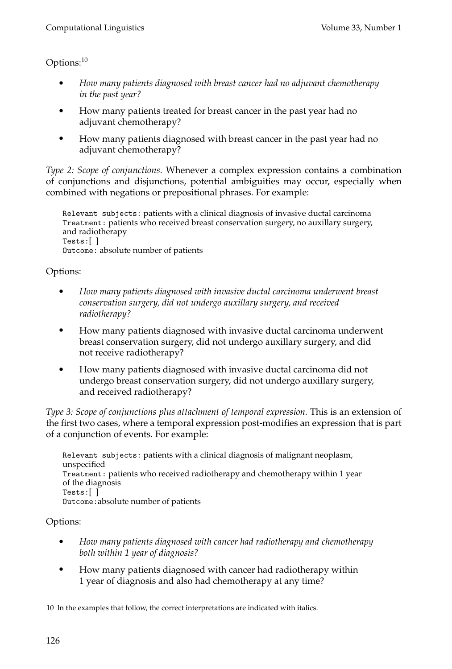# Options:<sup>10</sup>

- *How many patients diagnosed with breast cancer had no adjuvant chemotherapy in the past year?*
- How many patients treated for breast cancer in the past year had no adjuvant chemotherapy?
- How many patients diagnosed with breast cancer in the past year had no adjuvant chemotherapy?

*Type 2: Scope of conjunctions.* Whenever a complex expression contains a combination of conjunctions and disjunctions, potential ambiguities may occur, especially when combined with negations or prepositional phrases. For example:

Relevant subjects: patients with a clinical diagnosis of invasive ductal carcinoma Treatment: patients who received breast conservation surgery, no auxillary surgery, and radiotherapy Tests:[ ] Outcome: absolute number of patients

# Options:

- *How many patients diagnosed with invasive ductal carcinoma underwent breast conservation surgery, did not undergo auxillary surgery, and received radiotherapy?*
- How many patients diagnosed with invasive ductal carcinoma underwent breast conservation surgery, did not undergo auxillary surgery, and did not receive radiotherapy?
- How many patients diagnosed with invasive ductal carcinoma did not undergo breast conservation surgery, did not undergo auxillary surgery, and received radiotherapy?

*Type 3: Scope of conjunctions plus attachment of temporal expression.* This is an extension of the first two cases, where a temporal expression post-modifies an expression that is part of a conjunction of events. For example:

Relevant subjects: patients with a clinical diagnosis of malignant neoplasm, unspecified Treatment: patients who received radiotherapy and chemotherapy within 1 year of the diagnosis Tests:[ ] Outcome:absolute number of patients

# Options:

- *How many patients diagnosed with cancer had radiotherapy and chemotherapy both within 1 year of diagnosis?*
- How many patients diagnosed with cancer had radiotherapy within 1 year of diagnosis and also had chemotherapy at any time?

<sup>10</sup> In the examples that follow, the correct interpretations are indicated with italics.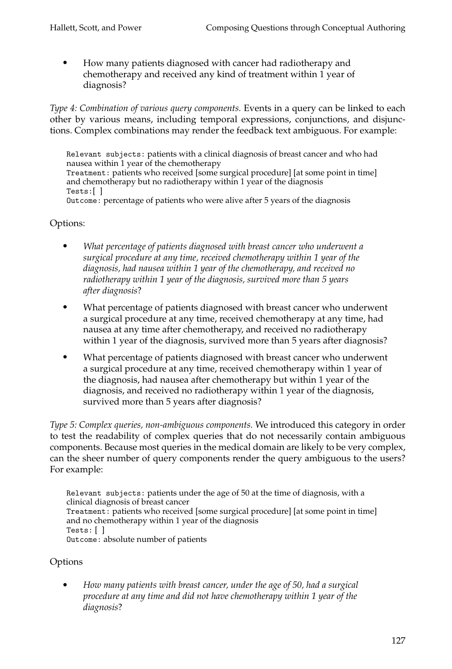How many patients diagnosed with cancer had radiotherapy and chemotherapy and received any kind of treatment within 1 year of diagnosis?

*Type 4: Combination of various query components.* Events in a query can be linked to each other by various means, including temporal expressions, conjunctions, and disjunctions. Complex combinations may render the feedback text ambiguous. For example:

Relevant subjects: patients with a clinical diagnosis of breast cancer and who had nausea within 1 year of the chemotherapy Treatment: patients who received [some surgical procedure] [at some point in time] and chemotherapy but no radiotherapy within 1 year of the diagnosis Tests:[ ] Outcome: percentage of patients who were alive after 5 years of the diagnosis

# Options:

- *What percentage of patients diagnosed with breast cancer who underwent a surgical procedure at any time, received chemotherapy within 1 year of the diagnosis, had nausea within 1 year of the chemotherapy, and received no radiotherapy within 1 year of the diagnosis, survived more than 5 years after diagnosis*?
- What percentage of patients diagnosed with breast cancer who underwent a surgical procedure at any time, received chemotherapy at any time, had nausea at any time after chemotherapy, and received no radiotherapy within 1 year of the diagnosis, survived more than 5 years after diagnosis?
- What percentage of patients diagnosed with breast cancer who underwent a surgical procedure at any time, received chemotherapy within 1 year of the diagnosis, had nausea after chemotherapy but within 1 year of the diagnosis, and received no radiotherapy within 1 year of the diagnosis, survived more than 5 years after diagnosis?

*Type 5: Complex queries, non-ambiguous components.* We introduced this category in order to test the readability of complex queries that do not necessarily contain ambiguous components. Because most queries in the medical domain are likely to be very complex, can the sheer number of query components render the query ambiguous to the users? For example:

Relevant subjects: patients under the age of 50 at the time of diagnosis, with a clinical diagnosis of breast cancer Treatment: patients who received [some surgical procedure] [at some point in time] and no chemotherapy within 1 year of the diagnosis Tests: [ ] Outcome: absolute number of patients

# Options

 *How many patients with breast cancer, under the age of 50, had a surgical procedure at any time and did not have chemotherapy within 1 year of the diagnosis*?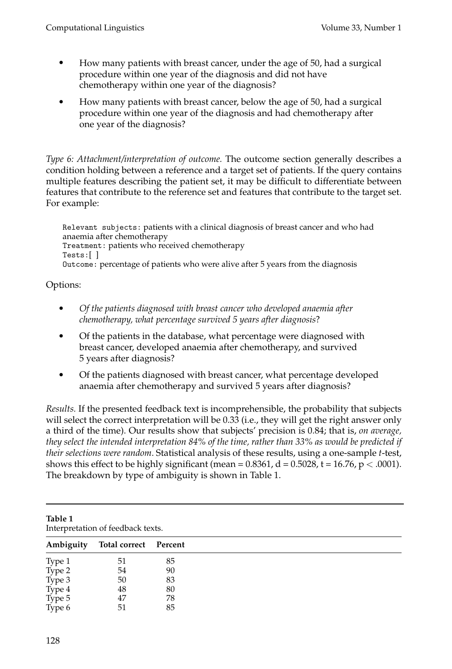- How many patients with breast cancer, under the age of 50, had a surgical procedure within one year of the diagnosis and did not have chemotherapy within one year of the diagnosis?
- How many patients with breast cancer, below the age of 50, had a surgical procedure within one year of the diagnosis and had chemotherapy after one year of the diagnosis?

*Type 6: Attachment/interpretation of outcome.* The outcome section generally describes a condition holding between a reference and a target set of patients. If the query contains multiple features describing the patient set, it may be difficult to differentiate between features that contribute to the reference set and features that contribute to the target set. For example:

Relevant subjects: patients with a clinical diagnosis of breast cancer and who had anaemia after chemotherapy Treatment: patients who received chemotherapy Tests:[ ] Outcome: percentage of patients who were alive after 5 years from the diagnosis

# Options:

- *Of the patients diagnosed with breast cancer who developed anaemia after chemotherapy, what percentage survived 5 years after diagnosis*?
- Of the patients in the database, what percentage were diagnosed with breast cancer, developed anaemia after chemotherapy, and survived 5 years after diagnosis?
- Of the patients diagnosed with breast cancer, what percentage developed anaemia after chemotherapy and survived 5 years after diagnosis?

*Results.* If the presented feedback text is incomprehensible, the probability that subjects will select the correct interpretation will be 0.33 (i.e., they will get the right answer only a third of the time). Our results show that subjects' precision is 0.84; that is, *on average, they select the intended interpretation 84% of the time, rather than 33% as would be predicted if their selections were random*. Statistical analysis of these results, using a one-sample *t*-test, shows this effect to be highly significant (mean =  $0.8361$ , d =  $0.5028$ , t =  $16.76$ , p < .0001). The breakdown by type of ambiguity is shown in Table 1.

| Table 1<br>Interpretation of feedback texts. |                       |    |  |
|----------------------------------------------|-----------------------|----|--|
| Ambiguity                                    | Total correct Percent |    |  |
| Type 1                                       | 51                    | 85 |  |
| Type 2                                       | 54                    | 90 |  |
| Type 3                                       | 50                    | 83 |  |
| Type 4                                       | 48                    | 80 |  |
| Type 5                                       | 47                    | 78 |  |
| Type 6                                       | 51                    | 85 |  |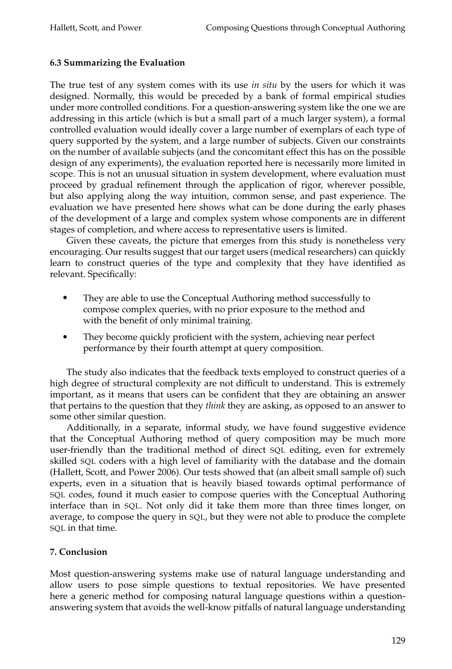### **6.3 Summarizing the Evaluation**

The true test of any system comes with its use *in situ* by the users for which it was designed. Normally, this would be preceded by a bank of formal empirical studies under more controlled conditions. For a question-answering system like the one we are addressing in this article (which is but a small part of a much larger system), a formal controlled evaluation would ideally cover a large number of exemplars of each type of query supported by the system, and a large number of subjects. Given our constraints on the number of available subjects (and the concomitant effect this has on the possible design of any experiments), the evaluation reported here is necessarily more limited in scope. This is not an unusual situation in system development, where evaluation must proceed by gradual refinement through the application of rigor, wherever possible, but also applying along the way intuition, common sense, and past experience. The evaluation we have presented here shows what can be done during the early phases of the development of a large and complex system whose components are in different stages of completion, and where access to representative users is limited.

Given these caveats, the picture that emerges from this study is nonetheless very encouraging. Our results suggest that our target users (medical researchers) can quickly learn to construct queries of the type and complexity that they have identified as relevant. Specifically:

- They are able to use the Conceptual Authoring method successfully to compose complex queries, with no prior exposure to the method and with the benefit of only minimal training.
- They become quickly proficient with the system, achieving near perfect performance by their fourth attempt at query composition.

The study also indicates that the feedback texts employed to construct queries of a high degree of structural complexity are not difficult to understand. This is extremely important, as it means that users can be confident that they are obtaining an answer that pertains to the question that they *think* they are asking, as opposed to an answer to some other similar question.

Additionally, in a separate, informal study, we have found suggestive evidence that the Conceptual Authoring method of query composition may be much more user-friendly than the traditional method of direct SQL editing, even for extremely skilled SQL coders with a high level of familiarity with the database and the domain (Hallett, Scott, and Power 2006). Our tests showed that (an albeit small sample of) such experts, even in a situation that is heavily biased towards optimal performance of SQL codes, found it much easier to compose queries with the Conceptual Authoring interface than in SQL. Not only did it take them more than three times longer, on average, to compose the query in SQL, but they were not able to produce the complete SQL in that time.

### **7. Conclusion**

Most question-answering systems make use of natural language understanding and allow users to pose simple questions to textual repositories. We have presented here a generic method for composing natural language questions within a questionanswering system that avoids the well-know pitfalls of natural language understanding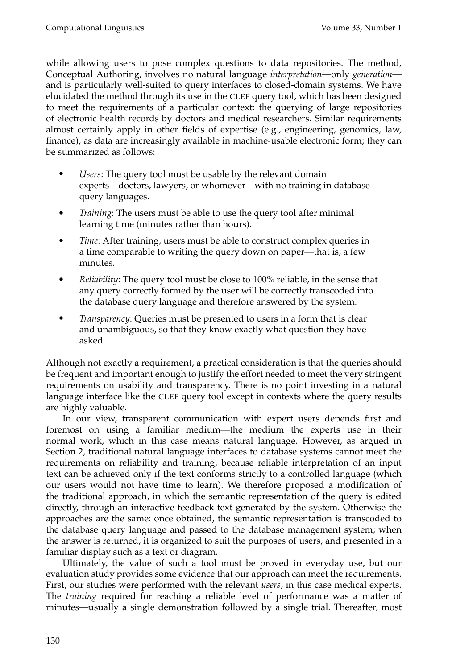while allowing users to pose complex questions to data repositories. The method, Conceptual Authoring, involves no natural language *interpretation*—only *generation* and is particularly well-suited to query interfaces to closed-domain systems. We have elucidated the method through its use in the CLEF query tool, which has been designed to meet the requirements of a particular context: the querying of large repositories of electronic health records by doctors and medical researchers. Similar requirements almost certainly apply in other fields of expertise (e.g., engineering, genomics, law, finance), as data are increasingly available in machine-usable electronic form; they can be summarized as follows:

- *Users*: The query tool must be usable by the relevant domain experts—doctors, lawyers, or whomever—with no training in database query languages.
- *Training*: The users must be able to use the query tool after minimal learning time (minutes rather than hours).
- *Time*: After training, users must be able to construct complex queries in a time comparable to writing the query down on paper—that is, a few minutes.
- *Reliability*: The query tool must be close to 100% reliable, in the sense that any query correctly formed by the user will be correctly transcoded into the database query language and therefore answered by the system.
- *Transparency*: Queries must be presented to users in a form that is clear and unambiguous, so that they know exactly what question they have asked.

Although not exactly a requirement, a practical consideration is that the queries should be frequent and important enough to justify the effort needed to meet the very stringent requirements on usability and transparency. There is no point investing in a natural language interface like the CLEF query tool except in contexts where the query results are highly valuable.

In our view, transparent communication with expert users depends first and foremost on using a familiar medium—the medium the experts use in their normal work, which in this case means natural language. However, as argued in Section 2, traditional natural language interfaces to database systems cannot meet the requirements on reliability and training, because reliable interpretation of an input text can be achieved only if the text conforms strictly to a controlled language (which our users would not have time to learn). We therefore proposed a modification of the traditional approach, in which the semantic representation of the query is edited directly, through an interactive feedback text generated by the system. Otherwise the approaches are the same: once obtained, the semantic representation is transcoded to the database query language and passed to the database management system; when the answer is returned, it is organized to suit the purposes of users, and presented in a familiar display such as a text or diagram.

Ultimately, the value of such a tool must be proved in everyday use, but our evaluation study provides some evidence that our approach can meet the requirements. First, our studies were performed with the relevant *users*, in this case medical experts. The *training* required for reaching a reliable level of performance was a matter of minutes—usually a single demonstration followed by a single trial. Thereafter, most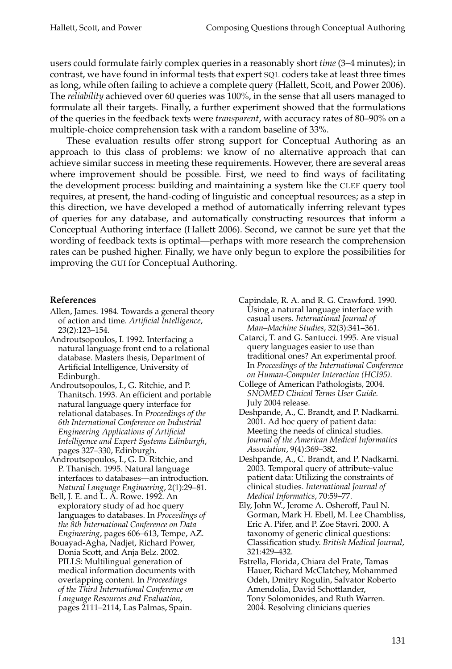users could formulate fairly complex queries in a reasonably short *time* (3–4 minutes); in contrast, we have found in informal tests that expert SQL coders take at least three times as long, while often failing to achieve a complete query (Hallett, Scott, and Power 2006). The *reliability* achieved over 60 queries was 100%, in the sense that all users managed to formulate all their targets. Finally, a further experiment showed that the formulations of the queries in the feedback texts were *transparent*, with accuracy rates of 80–90% on a multiple-choice comprehension task with a random baseline of 33%.

These evaluation results offer strong support for Conceptual Authoring as an approach to this class of problems: we know of no alternative approach that can achieve similar success in meeting these requirements. However, there are several areas where improvement should be possible. First, we need to find ways of facilitating the development process: building and maintaining a system like the CLEF query tool requires, at present, the hand-coding of linguistic and conceptual resources; as a step in this direction, we have developed a method of automatically inferring relevant types of queries for any database, and automatically constructing resources that inform a Conceptual Authoring interface (Hallett 2006). Second, we cannot be sure yet that the wording of feedback texts is optimal—perhaps with more research the comprehension rates can be pushed higher. Finally, we have only begun to explore the possibilities for improving the GUI for Conceptual Authoring.

### **References**

- Allen, James. 1984. Towards a general theory of action and time. *Artificial Intelligence*, 23(2):123–154.
- Androutsopoulos, I. 1992. Interfacing a natural language front end to a relational database. Masters thesis, Department of Artificial Intelligence, University of Edinburgh.
- Androutsopoulos, I., G. Ritchie, and P. Thanitsch. 1993. An efficient and portable natural language query interface for relational databases. In *Proceedings of the 6th International Conference on Industrial Engineering Applications of Artificial Intelligence and Expert Systems Edinburgh*, pages 327–330, Edinburgh.
- Androutsopoulos, I., G. D. Ritchie, and P. Thanisch. 1995. Natural language interfaces to databases—an introduction. *Natural Language Engineering*, 2(1):29–81.
- Bell, J. E. and L. A. Rowe. 1992. An exploratory study of ad hoc query languages to databases. In *Proceedings of the 8th International Conference on Data Engineering*, pages 606–613, Tempe, AZ.
- Bouayad-Agha, Nadjet, Richard Power, Donia Scott, and Anja Belz. 2002. PILLS: Multilingual generation of medical information documents with overlapping content. In *Proceedings of the Third International Conference on Language Resources and Evaluation*, pages 2111–2114, Las Palmas, Spain.
- Capindale, R. A. and R. G. Crawford. 1990. Using a natural language interface with casual users. *International Journal of Man–Machine Studies*, 32(3):341–361.
- Catarci, T. and G. Santucci. 1995. Are visual query languages easier to use than traditional ones? An experimental proof. In *Proceedings of the International Conference on Human-Computer Interaction (HCI95)*.
- College of American Pathologists, 2004. *SNOMED Clinical Terms User Guide.* July 2004 release.
- Deshpande, A., C. Brandt, and P. Nadkarni. 2001. Ad hoc query of patient data: Meeting the needs of clinical studies. *Journal of the American Medical Informatics Association*, 9(4):369–382.
- Deshpande, A., C. Brandt, and P. Nadkarni. 2003. Temporal query of attribute-value patient data: Utilizing the constraints of clinical studies. *International Journal of Medical Informatics*, 70:59–77.
- Ely, John W., Jerome A. Osheroff, Paul N. Gorman, Mark H. Ebell, M. Lee Chambliss, Eric A. Pifer, and P. Zoe Stavri. 2000. A taxonomy of generic clinical questions: Classification study. *British Medical Journal*, 321:429–432.
- Estrella, Florida, Chiara del Frate, Tamas Hauer, Richard McClatchey, Mohammed Odeh, Dmitry Rogulin, Salvator Roberto Amendolia, David Schottlander, Tony Solomonides, and Ruth Warren. 2004. Resolving clinicians queries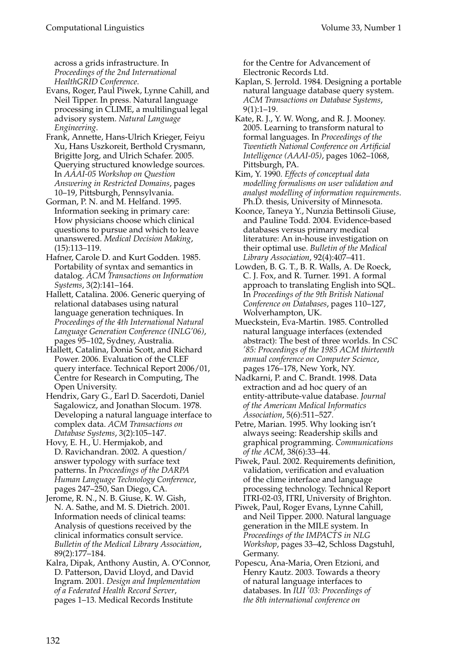across a grids infrastructure. In *Proceedings of the 2nd International HealthGRID Conference*.

- Evans, Roger, Paul Piwek, Lynne Cahill, and Neil Tipper. In press. Natural language processing in CLIME, a multilingual legal advisory system. *Natural Language Engineering*.
- Frank, Annette, Hans-Ulrich Krieger, Feiyu Xu, Hans Uszkoreit, Berthold Crysmann, Brigitte Jorg, and Ulrich Schafer. 2005. Querying structured knowledge sources. In *AAAI-05 Workshop on Question Answering in Restricted Domains*, pages 10–19, Pittsburgh, Pennsylvania.
- Gorman, P. N. and M. Helfand. 1995. Information seeking in primary care: How physicians choose which clinical questions to pursue and which to leave unanswered. *Medical Decision Making*, (15):113–119.
- Hafner, Carole D. and Kurt Godden. 1985. Portability of syntax and semantics in datalog. *ACM Transactions on Information Systems*, 3(2):141–164.

Hallett, Catalina. 2006. Generic querying of relational databases using natural language generation techniques. In *Proceedings of the 4th International Natural Language Generation Conference (INLG'06)*, pages 95–102, Sydney, Australia.

- Hallett, Catalina, Donia Scott, and Richard Power. 2006. Evaluation of the CLEF query interface. Technical Report 2006/01, Centre for Research in Computing, The Open University.
- Hendrix, Gary G., Earl D. Sacerdoti, Daniel Sagalowicz, and Jonathan Slocum. 1978. Developing a natural language interface to complex data. *ACM Transactions on Database Systems*, 3(2):105–147.
- Hovy, E. H., U. Hermjakob, and D. Ravichandran. 2002. A question/ answer typology with surface text patterns. In *Proceedings of the DARPA Human Language Technology Conference*, pages 247–250, San Diego, CA.
- Jerome, R. N., N. B. Giuse, K. W. Gish, N. A. Sathe, and M. S. Dietrich. 2001. Information needs of clinical teams: Analysis of questions received by the clinical informatics consult service. *Bulletin of the Medical Library Association*, 89(2):177–184.
- Kalra, Dipak, Anthony Austin, A. O'Connor, D. Patterson, David Lloyd, and David Ingram. 2001. *Design and Implementation of a Federated Health Record Server*, pages 1–13. Medical Records Institute

for the Centre for Advancement of Electronic Records Ltd.

- Kaplan, S. Jerrold. 1984. Designing a portable natural language database query system. *ACM Transactions on Database Systems*, 9(1):1–19.
- Kate, R. J., Y. W. Wong, and R. J. Mooney. 2005. Learning to transform natural to formal languages. In *Proceedings of the Twentieth National Conference on Artificial Intelligence (AAAI-05)*, pages 1062–1068, Pittsburgh, PA.
- Kim, Y. 1990. *Effects of conceptual data modelling formalisms on user validation and analyst modelling of information requirements*. Ph.D. thesis, University of Minnesota.
- Koonce, Taneya Y., Nunzia Bettinsoli Giuse, and Pauline Todd. 2004. Evidence-based databases versus primary medical literature: An in-house investigation on their optimal use. *Bulletin of the Medical Library Association*, 92(4):407–411.
- Lowden, B. G. T., B. R. Walls, A. De Roeck, C. J. Fox, and R. Turner. 1991. A formal approach to translating English into SQL. In *Proceedings of the 9th British National Conference on Databases*, pages 110–127, Wolverhampton, UK.
- Mueckstein, Eva-Martin. 1985. Controlled natural language interfaces (extended abstract): The best of three worlds. In *CSC '85: Proceedings of the 1985 ACM thirteenth annual conference on Computer Science*, pages 176–178, New York, NY.
- Nadkarni, P. and C. Brandt. 1998. Data extraction and ad hoc query of an entity-attribute-value database. *Journal of the American Medical Informatics Association*, 5(6):511–527.
- Petre, Marian. 1995. Why looking isn't always seeing: Readership skills and graphical programming. *Communications of the ACM*, 38(6):33–44.
- Piwek, Paul. 2002. Requirements definition, validation, verification and evaluation of the clime interface and language processing technology. Technical Report ITRI-02-03, ITRI, University of Brighton.
- Piwek, Paul, Roger Evans, Lynne Cahill, and Neil Tipper. 2000. Natural language generation in the MILE system. In *Proceedings of the IMPACTS in NLG Workshop*, pages 33–42, Schloss Dagstuhl, Germany.
- Popescu, Ana-Maria, Oren Etzioni, and Henry Kautz. 2003. Towards a theory of natural language interfaces to databases. In *IUI '03: Proceedings of the 8th international conference on*